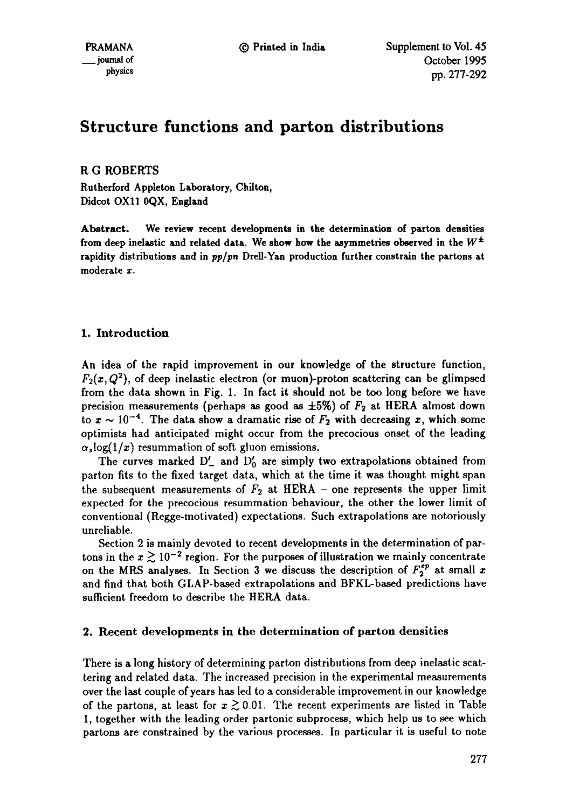# **Structure functions and patton distributions**

R G ROBERTS

**Rutherford Appleton** Laboratory, Chilton, Didcot OX11 0QX, England

**Abstract. We review recent developments in the determination of patton** densities from deep inelastic and related data. We show how the asymmetries observed in the  $W^{\pm}$ rapidity distributions and **in** *pp/pn* **Drell-Yan production further constrain the partons at**  moderate x.

## **1. Introduction**

An idea of the rapid improvement in our knowledge of the structure function,  $F_2(x, Q^2)$ , of deep inelastic electron (or muon)-proton scattering can be glimpsed from the data shown in Fig. 1. In fact it should not be too long before we have precision measurements (perhaps as good as  $\pm 5\%$ ) of  $F_2$  at HERA almost down to  $x \sim 10^{-4}$ . The data show a dramatic rise of  $F_2$  with decreasing x, which some optimists had anticipated might occur from the precocious onset of the leading  $\alpha_s$ log(1/x) resummation of soft gluon emissions.

The curves marked  $D'_-$  and  $D'_0$  are simply two extrapolations obtained from patton fits to the fixed target data, which at the time it was thought might span the subsequent measurements of  $F_2$  at HERA – one represents the upper limit expected for the precocious resummation behaviour, the other the lower limit of conventional (Regge-motivated) expectations. Such extrapolations are notoriously unreliable.

Section 2 is mainly devoted to recent developments in the determination of partons in the  $x \gtrsim 10^{-2}$  region. For the purposes of illustration we mainly concentrate on the MRS analyses. In Section 3 we discuss the description of  $F_2^{ep}$  at small x and find that both GLAP-based extrapolations and BFKL-based predictions have sufficient freedom to describe the HERA data.

## 2. Recent developments in the determination of parton densities

There is a long history of determining parton distributions from deep inelastic scattering and related data. The increased precision in the experimental measurements over the last couple of years has led to a considerable improvement in our knowledge of the partons, at least for  $x \ge 0.01$ . The recent experiments are listed in Table 1, together with the leading order partonic subprocess, which help us to see which partons are constrained by the various processes. In particular it is useful to note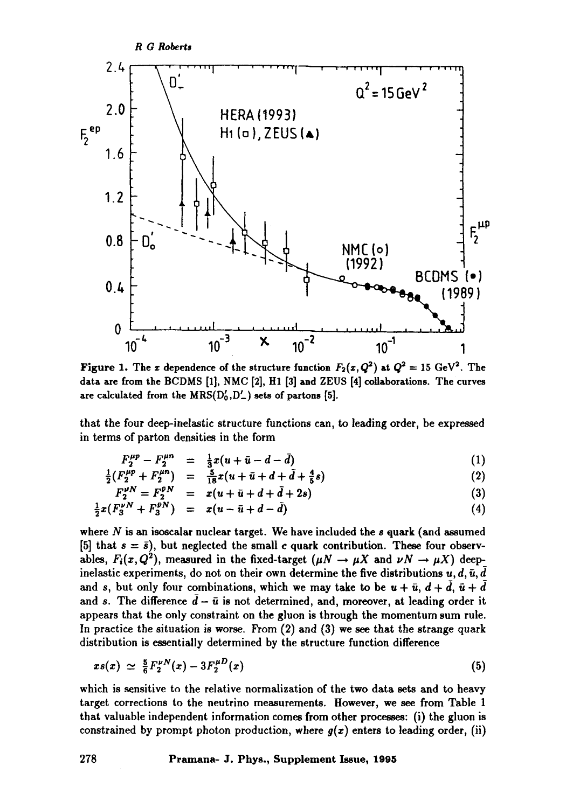

Figure 1. The x dependence of the structure function  $F_2(x,Q^2)$  at  $Q^2 = 15 \text{ GeV}^2$ . The data are from the BCDMS [1], NMC [2], H1 [3] and ZEUS [4] collaborations. The curves are calculated from the  $MRS(D'_0, D'_-)$  sets of partons [5].

that the four deep-inelastic structure functions can, to leading order, be expressed in terms of parton densities in the form

$$
F_2^{\mu p} - F_2^{\mu n} = \frac{1}{3}x(u + \bar{u} - d - \bar{d})
$$
 (1)

$$
\frac{1}{2}(F_2^{\mu p} + F_2^{\mu n}) = \frac{5}{18}x(u + \bar{u} + d + \bar{d} + \frac{4}{5}s)
$$
 (2)

$$
F_2^{\nu N} = F_2^{\bar{\nu} N} = x(u + \bar{u} + d + \bar{d} + 2s)
$$
 (3)

$$
\frac{1}{2}x(F_3^{\nu N} + F_3^{\nu N}) = x(u - \bar{u} + d - \bar{d})
$$
\n(4)

where  $N$  is an isoscalar nuclear target. We have included the  $s$  quark (and assumed [5] that  $s = \bar{s}$ ], but neglected the small c quark contribution. These four observables,  $F_i(x, Q^2)$ , measured in the fixed-target  $(\mu N \to \mu X$  and  $\nu N \to \mu X)$  deepinelastic experiments, do not on their own determine the five distributions  $u, d, \bar{u}, \bar{d}$ and s, but only four combinations, which we may take to be  $u + \bar{u}$ ,  $d + \bar{d}$ ,  $\bar{u} + \bar{d}$ and s. The difference  $d - \bar{u}$  is not determined, and, moreover, at leading order it appears that the only constraint on the gluon is through the momentum sum rule. In practice the situation is worse. From (2) and (3) we see that the strange quark distribution is essentially determined by the structure function difference

$$
xs(x) \simeq \frac{5}{6} F_2^{\nu N}(x) - 3F_2^{\mu D}(x) \tag{5}
$$

which is sensitive to the relative normalization of the two data sets and to heavy target corrections to the neutrino measurements. However, we see from Table 1 that valuable independent information comes from other processes: (i) the gluon is constrained by prompt photon production, where *g(z)* enters to leading order, (ii)

**278 Pramana- J. Phys., Supplement Issue, 1995**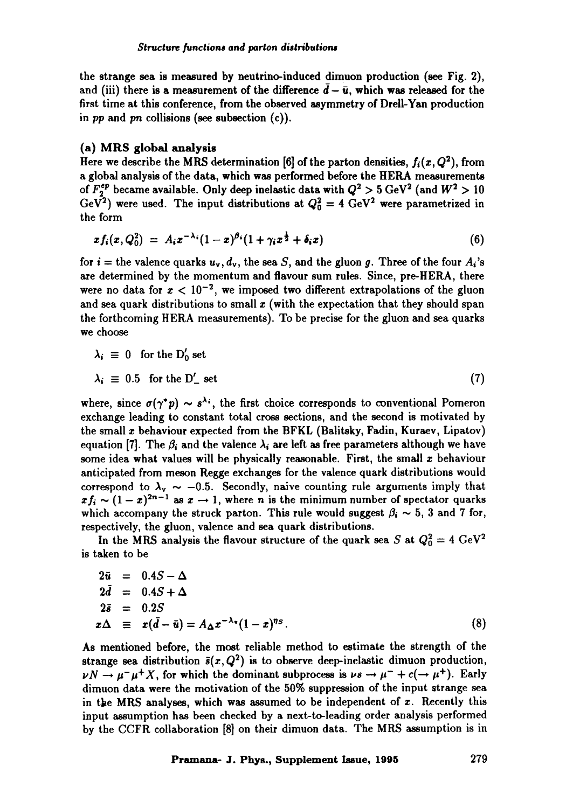the strange sea is measured by neutrino-induced dimuon production (see Fig. 2), and (iii) there is a measurement of the difference  $\bar{d} - \bar{u}$ , which was released for the first time at this conference, from the observed asymmetry of Drell-Yan production in *pp* and pn collisions (see subsection (c)).

## (a) MRS global analysis

Here we describe the MRS determination [6] of the parton densities,  $f_i(x, Q^2)$ , from a global analysis of the data, which was performed before the HERA measurements of  $F_2^{ep}$  became available. Only deep inelastic data with  $Q^2 > 5 \text{ GeV}^2$  (and  $W^2 > 10$ GeV<sup>2</sup>) were used. The input distributions at  $Q_0^2 = 4$  GeV<sup>2</sup> were parametrized in the form

$$
xf_i(x,Q_0^2) = A_i x^{-\lambda_i} (1-x)^{\beta_i} (1+\gamma_i x^{\frac{1}{2}} + \delta_i x)
$$
 (6)

for  $i =$  the valence quarks  $u_v, d_v$ , the sea *S*, and the gluon g. Three of the four  $A_i$ 's are determined by the momentum and flavour sum rules. Since, pre-HERA, there were no data for  $x < 10^{-2}$ , we imposed two different extrapolations of the gluon and sea quark distributions to small  $x$  (with the expectation that they should span the forthcoming HERA measurements). To be precise for the gluon and sea quarks we choose

$$
\lambda_i \equiv 0 \text{ for the } D'_0 \text{ set}
$$
  

$$
\lambda_i \equiv 0.5 \text{ for the } D'_- \text{ set}
$$
 (7)

where, since  $\sigma(\gamma^*p) \sim s^{\lambda_i}$ , the first choice corresponds to conventional Pomeron exchange leading to constant total cross sections, and the second is motivated by the small x behaviour expected from the BFKL (Balitsky, Fadin, Kuraev, Lipatov) equation [7]. The  $\beta_i$  and the valence  $\lambda_i$  are left as free parameters although we have some idea what values will be physically reasonable. First, the small x behaviour anticipated from meson Regge exchanges for the valence quark distributions would correspond to  $\lambda_{\rm v} \sim -0.5$ . Secondly, naive counting rule arguments imply that  $xf_i \sim (1-x)^{2n-1}$  as  $x \to 1$ , where n is the minimum number of spectator quarks which accompany the struck parton. This rule would suggest  $\beta_i \sim 5$ , 3 and 7 for, respectively, the gluon, valence and sea quark distributions.

In the MRS analysis the flavour structure of the quark sea S at  $Q_0^2 = 4 \text{ GeV}^2$ is taken to be

$$
2\bar{u} = 0.4S - \Delta
$$
  
\n
$$
2\bar{d} = 0.4S + \Delta
$$
  
\n
$$
2\bar{s} = 0.2S
$$
  
\n
$$
x\Delta \equiv x(\bar{d} - \bar{u}) = A_{\Delta}x^{-\lambda_{\tau}}(1 - x)^{\eta_{S}}.
$$
\n(8)

As mentioned before, the most reliable method to estimate the strength of the strange sea distribution  $\bar{s}(x, Q^2)$  is to observe deep-inelastic dimuon production,  $\nu N \rightarrow \mu^- \mu^+ X$ , for which the dominant subprocess is  $\nu s \rightarrow \mu^- + c(\rightarrow \mu^+)$ . Early dimuon data were the motivation of the 50% suppression of the input strange sea in the MRS analyses, which was assumed to be independent of  $x$ . Recently this input assumption has been checked by a next-to-leading order analysis performed by the CCFR collaboration [8] on their dimuon data. The MRS assumption is in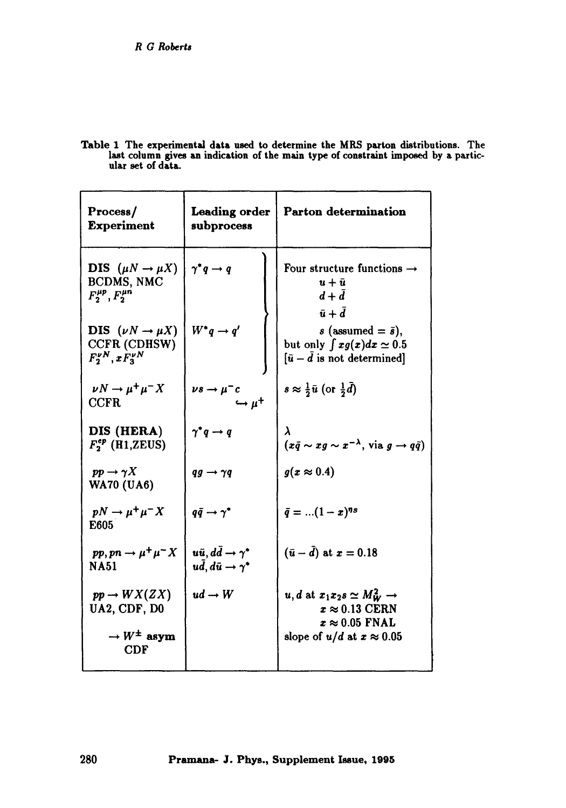Table 1 The experimental data used to determine the MRS patton distributions. The last column gives an indication of the main type of constraint imposed by a particular set of data.

| Process/<br><b>Experiment</b>                                                                        | Leading order<br>subprocess                                                                  | Parton determination                                                                                                               |
|------------------------------------------------------------------------------------------------------|----------------------------------------------------------------------------------------------|------------------------------------------------------------------------------------------------------------------------------------|
| <b>DIS</b> $(\mu N \rightarrow \mu X)$<br>BCDMS, NMC<br>$F_2^{\mu p}, F_2^{\mu n}$                   | $\gamma^* q \rightarrow q$                                                                   | Four structure functions $\rightarrow$<br>$u + \bar{u}$<br>$d+d$<br>$\bar{u}+\bar{d}$                                              |
| DIS $(\nu N \rightarrow \mu X)$<br>CCFR (CDHSW)<br>$F_2^{\nu N}, x F_3^{\nu N}$                      | $W^*q \rightarrow q'$                                                                        | s (assumed $=\bar{s}$ ),<br>but only $\int xg(x)dx \simeq 0.5$<br>$[\bar{u} - \bar{d}]$ is not determined]                         |
| $\nu N \rightarrow \mu^+ \mu^- X$<br><b>CCFR</b>                                                     | $\nu s \rightarrow \mu^- c$<br>$\hookrightarrow \mu^+$                                       | $s \approx \frac{1}{2} \bar{u}$ (or $\frac{1}{2} \bar{d}$ )                                                                        |
| DIS (HERA)<br>$F_2^{ep}$ (H1,ZEUS)                                                                   | $\gamma^*q \rightarrow q$                                                                    | λ<br>$(x\bar{q} \sim x g \sim x^{-\lambda}, \text{ via } g \to q\bar{q})$                                                          |
| $pp \rightarrow \gamma X$<br><b>WA70 (UA6)</b>                                                       | $qg \rightarrow \gamma q$                                                                    | $g(x \approx 0.4)$                                                                                                                 |
| $pN \rightarrow \mu^+\mu^- X$<br>E605                                                                | $q\bar{q} \rightarrow \gamma^*$                                                              | $\bar{q} =  (1-x)^{ns}$                                                                                                            |
| $pp, pn \rightarrow \mu^+ \mu^- X$<br><b>NA51</b>                                                    | $u\bar{u}$ , $d\bar{d} \rightarrow \gamma^*$<br>$u\bar{d}$ , $d\bar{u} \rightarrow \gamma^*$ | $(\bar{u}-\bar{d})$ at $x=0.18$                                                                                                    |
| $pp \rightarrow W X (ZX)$<br>UA2, CDF, D0<br>$\rightarrow$ W <sup><math>\pm</math></sup> asym<br>CDF | $ud \rightarrow W$                                                                           | u, d at $x_1x_2s \simeq M_W^2 \rightarrow$<br>$x \approx 0.13$ CERN<br>$x \approx 0.05$ FNAL<br>slope of $u/d$ at $x \approx 0.05$ |
|                                                                                                      |                                                                                              |                                                                                                                                    |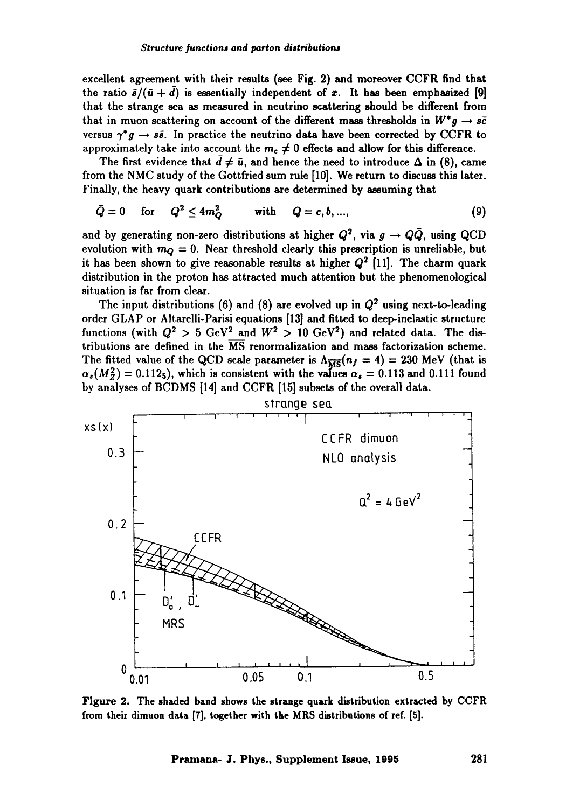excellent agreement with their results (see Fig. 2) and moreover CCFR find that the ratio  $\bar{s}/(\bar{u} + d)$  is essentially independent of x. It has been emphasized [9] that the strange sea as measured in neutrino scattering should he different from that in muon scattering on account of the different mass thresholds in  $W^*q \rightarrow s\bar{c}$ versus  $\gamma^*g \rightarrow s\bar{s}$ . In practice the neutrino data have been corrected by CCFR to approximately take into account the  $m_c \neq 0$  effects and allow for this difference.

The first evidence that  $\overline{d} \neq \overline{u}$ , and hence the need to introduce  $\Delta$  in (8), came from the NMC study of the Gottfried sum rule [10]. We return to discuss this later. Finally, the heavy quark contributions are determined by assuming that

$$
\bar{Q} = 0 \quad \text{for} \quad Q^2 \le 4m_Q^2 \qquad \text{with} \quad Q = c, b, ..., \tag{9}
$$

and by generating non-zero distributions at higher  $Q^2$ , via  $g \to Q\bar{Q}$ , using QCD evolution with  $m_Q = 0$ . Near threshold clearly this prescription is unreliable, but it has been shown to give reasonable results at higher  $Q^2$  [11]. The charm quark distribution in the proton has attracted much attention but the phenomenological situation is far from clear.

The input distributions (6) and (8) are evolved up in  $Q^2$  using next-to-leading order GLAP or Altarelli-Parisi equations [13] and fitted to deep-inelastic structure functions (with  $Q^2 > 5$  GeV<sup>2</sup> and  $W^2 > 10$  GeV<sup>2</sup>) and related data. The distributions are defined in the  $\overline{\text{MS}}$  renormalization and mass factorization scheme. The fitted value of the QCD scale parameter is  $\Lambda_{\overline{MS}}(n_f = 4) = 230$  MeV (that is  $\alpha_s(M_Z^2) = 0.112_5$ , which is consistent with the values  $\alpha_s = 0.113$  and 0.111 found by analyses of BCDMS [14] and CCFR [15] subsets of the overall data.



Figure 2. The shaded band shows the strange quark distribution extracted by CCFR from their dimuon data [7], together with the MRS distributions of ref. [5].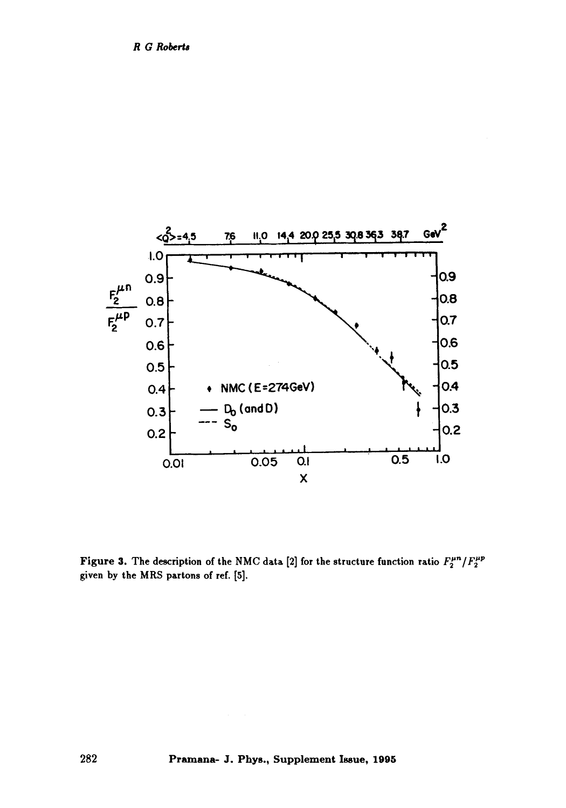

Figure 3. The description of the NMC data [2] for the structure function ratio  $F_2^{\mu n}/F_2^{\mu p}$ given by the MRS partons of ref. [5].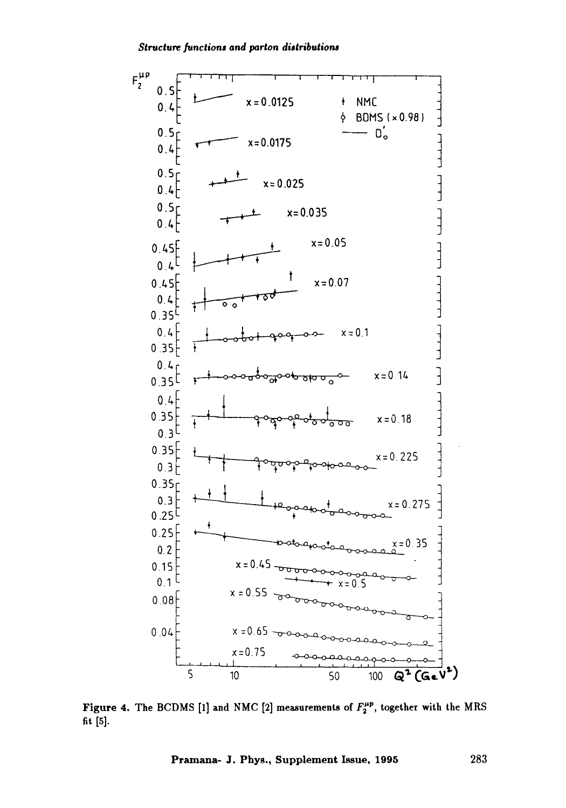

**Figure 4.** The BCDMS [1] and NMC [2] measurements of  $F_2^{\mu p}$ , together with the MRS **fit** [5].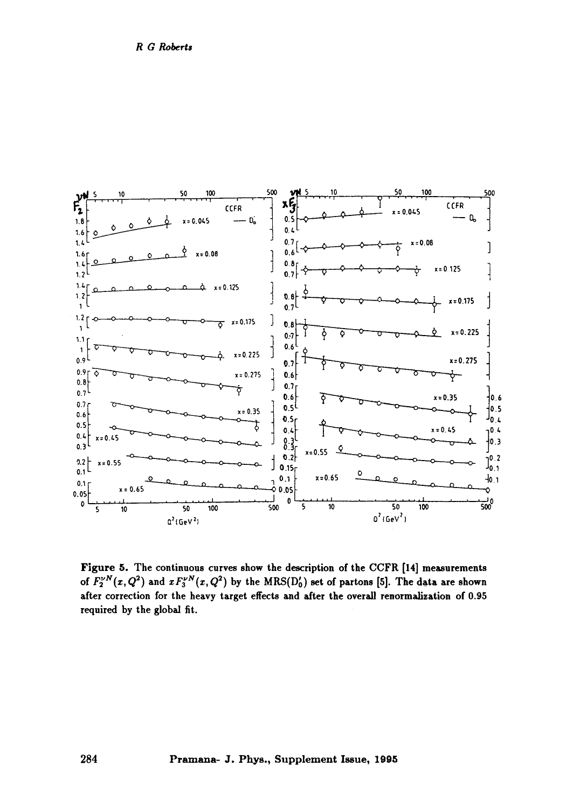

Figure 5. The continuous curves show the description of the CCFR [14] measurements of  $F_2^{\nu N}(x, Q^2)$  and  $xF_3^{\nu N}(x, Q^2)$  by the MRS(D<sub>0</sub>) set of partons [5]. The data are shown after correction for the heavy target effects and after the overall renormalization of 0.95 required by the global fit.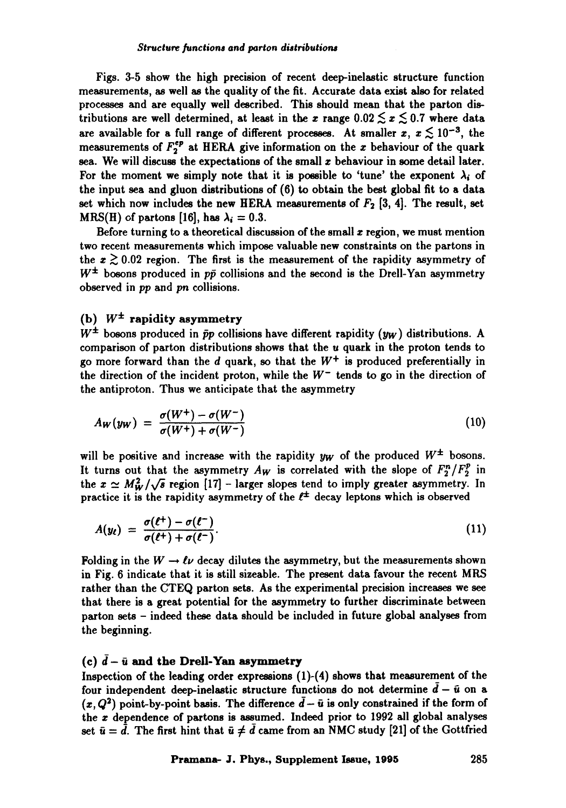Figs. 3-5 show the high precision of recent deep-inelastic structure function measurements, as well as the quality of the fit. Accurate data exist also for related processes and are equally well described. This should mean that the patton distributions are well determined, at least in the x range  $0.02 \lesssim x \lesssim 0.7$  where data are available for a full range of different processes. At smaller  $x, x \lesssim 10^{-3}$ , the measurements of  $F_2^{\epsilon_p}$  at HERA give information on the x behaviour of the quark sea. We will discuss the expectations of the small  $x$  behaviour in some detail later. For the moment we simply note that it is possible to 'tune' the exponent  $\lambda_i$  of the input sea and gluon distributions of (6) to obtain the best global fit to a data set which now includes the new HERA measurements of  $F<sub>2</sub>$  [3, 4]. The result, set MRS(H) of partons [16], has  $\lambda_i = 0.3$ .

Before turning to a theoretical discussion of the small  $x$  region, we must mention two recent measurements which impose valuable new constraints on the partons in the  $x \gtrsim 0.02$  region. The first is the measurement of the rapidity asymmetry of  $W^{\pm}$  bosons produced in  $p\bar{p}$  collisions and the second is the Drell-Yan asymmetry observed in *pp* and *pn* collisions.

## (b)  $W^{\pm}$  rapidity asymmetry

 $W^{\pm}$  bosons produced in  $\bar{p}p$  collisions have different rapidity (yw) distributions. A comparison of parton distributions shows that the  $u$  quark in the proton tends to go more forward than the  $d$  quark, so that the  $W^+$  is produced preferentially in the direction of the incident proton, while the  $W^-$  tends to go in the direction of the antiproton. Thus we anticipate that the asymmetry

$$
A_W(y_W) = \frac{\sigma(W^+) - \sigma(W^-)}{\sigma(W^+) + \sigma(W^-)}
$$
\n(10)

will be positive and increase with the rapidity  $y_w$  of the produced  $W^{\pm}$  bosons. It turns out that the asymmetry  $A_W$  is correlated with the slope of  $F_2^n/F_2^n$  in the  $x \simeq M_W^2/\sqrt{s}$  region [17] - larger slopes tend to imply greater asymmetry. In practice it is the rapidity asymmetry of the  $\ell^{\pm}$  decay leptons which is observed

$$
A(y_{\ell}) = \frac{\sigma(\ell^{+}) - \sigma(\ell^{-})}{\sigma(\ell^{+}) + \sigma(\ell^{-})}.
$$
\n(11)

Folding in the  $W \to \ell \nu$  decay dilutes the asymmetry, but the measurements shown in Fig. 6 indicate that it is still sizeable. The present data favour the recent MRS rather than the CTEQ parton sets. As the experimental precision increases we see that there is a great potential for the asymmetry to further discriminate between patton sets - indeed these data should be included in future global analyses from the beginning.

### (c)  $\bar{d} - \bar{u}$  and the Drell-Yan asymmetry

Inspection of the leading order expressions (1)-(4) shows that measurement of the four independent deep-inelastic structure functions do not determine  $\bar{d} - \bar{u}$  on a  $(x, Q<sup>2</sup>)$  point-by-point basis. The difference  $\bar{d} - \bar{u}$  is only constrained if the form of the z dependence of partons is assumed. Indeed prior to 1992 all global analyses set  $\bar{u} = \bar{d}$ . The first hint that  $\bar{u} \neq \bar{d}$  came from an NMC study [21] of the Gottfried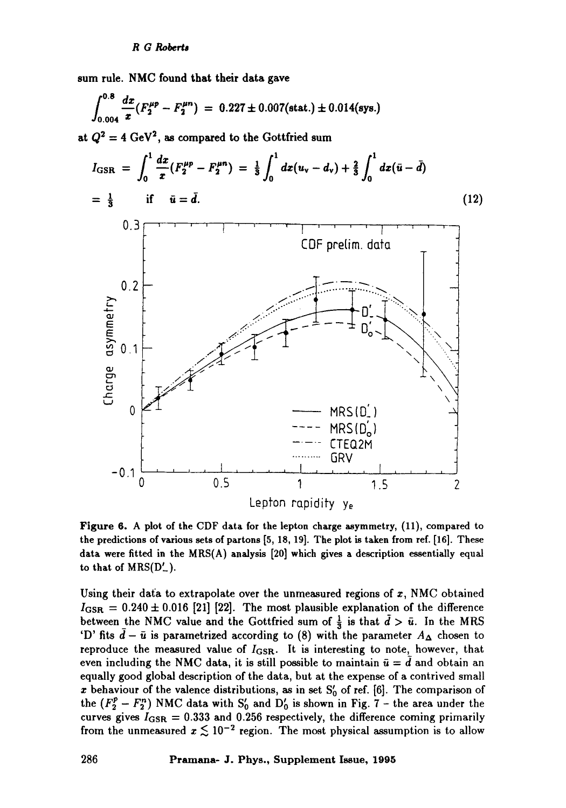**sum** rule. NMC found that their data gave

$$
\int_{0.004}^{0.8} \frac{dx}{x} (F_2^{\mu p} - F_2^{\mu n}) = 0.227 \pm 0.007 \text{(stat.)} \pm 0.014 \text{(sys.)}
$$

at  $Q^2 = 4 \text{ GeV}^2$ , as compared to the Gottfried sum



Figure 6. A plot of the CDF data for the lepton charge asymmetry, (11), compared to the predictions of various sets of partons [5, 18, 19]. The plot is taken from ref. [16]. These data were fitted in the MRS(A) analysis [20] which gives a description essentially equal to that of  $MRS(D'_{-})$ .

Using their data to extrapolate over the unmeasured regions of  $x$ , NMC obtained  $I_{\text{GSR}} = 0.240 \pm 0.016$  [21] [22]. The most plausible explanation of the difference between the NMC value and the Gottfried sum of  $\frac{1}{3}$  is that  $\bar{d} > \bar{u}$ . In the MRS 'D' fits  $\bar{d}-\bar{u}$  is parametrized according to (8) with the parameter  $A_{\Delta}$  chosen to reproduce the measured value of  $I_{\text{GSR}}$ . It is interesting to note, however, that even including the NMC data, it is still possible to maintain  $\bar{u} = d$  and obtain an equally good global description of the data, but at the expense of a contrived small x behaviour of the valence distributions, as in set  $S'_{0}$  of ref. [6]. The comparison of the  $(F_2^p - F_2^n)$  NMC data with  $S'_0$  and  $D'_0$  is shown in Fig. 7 - the area under the curves gives  $I_{\text{GSR}} = 0.333$  and 0.256 respectively, the difference coming primarily from the unmeasured  $x \lesssim 10^{-2}$  region. The most physical assumption is to allow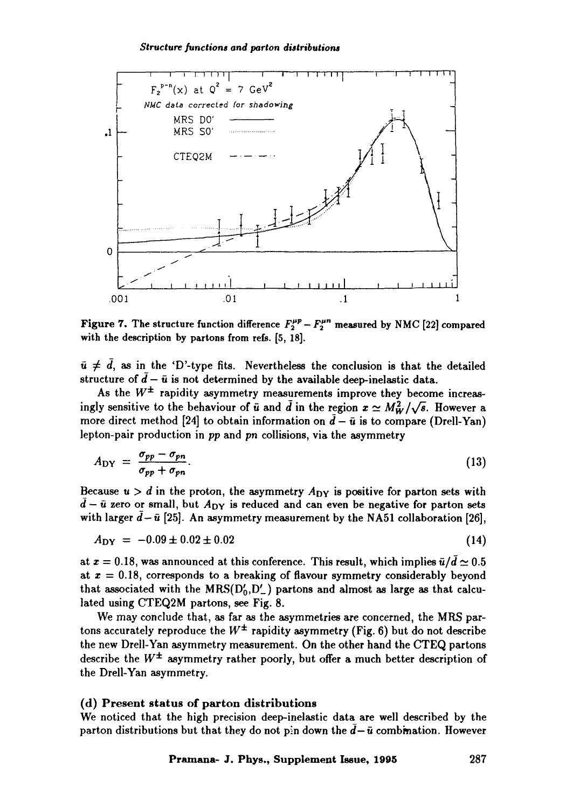#### *Structure functions and parton distributions*



Figure 7. The structure function difference  $F_2^{\mu p} - F_2^{\mu n}$  measured by NMC [22] compared with the description by partons from refs. [5, 18].

 $\bar{u} \neq \bar{d}$ , as in the 'D'-type fits. Nevertheless the conclusion is that the detailed structure of  $\tilde{d}-\bar{u}$  is not determined by the available deep-inelastic data.

As the  $W^{\pm}$  rapidity asymmetry measurements improve they become increasingly sensitive to the behaviour of  $\bar{u}$  and  $\bar{d}$  in the region  $x \simeq M_W^2/\sqrt{s}$ . However a more direct method [24] to obtain information on  $\bar{d} - \bar{u}$  is to compare (Drell-Yan) lepton-pair production in *pp* and *pn* collisions, via the asymmetry

$$
A_{\rm DY} = \frac{\sigma_{pp} - \sigma_{pn}}{\sigma_{pp} + \sigma_{pn}}.\tag{13}
$$

Because  $u > d$  in the proton, the asymmetry  $A_{DY}$  is positive for parton sets with  $\bar{d}$  –  $\bar{u}$  zero or small, but  $A_{DY}$  is reduced and can even be negative for parton sets with larger  $\bar{d}-\bar{u}$  [25]. An asymmetry measurement by the NA51 collaboration [26],

$$
A_{\rm DY} = -0.09 \pm 0.02 \pm 0.02 \tag{14}
$$

at  $x = 0.18$ , was announced at this conference. This result, which implies  $\bar{u}/\bar{d} \simeq 0.5$ at  $x = 0.18$ , corresponds to a breaking of flavour symmetry considerably beyond that associated with the  $MRS(D'_0, D'_1)$  partons and almost as large as that calculated using CTEQ2M partons, see Fig. 8.

We may conclude that, as far as the asymmetries are concerned, the MRS partons accurately reproduce the  $W^{\pm}$  rapidity asymmetry (Fig. 6) but do not describe the new Drell-Yan asymmetry measurement. On the other hand the CTEQ partons describe the  $W^{\pm}$  asymmetry rather poorly, but offer a much better description of the Drell-Yan asymmetry.

#### **(d) Present status of** parton distributions

We noticed that the high precision deep-inelastic data are well described by the parton distributions but that they do not pin down the  $d-\bar{u}$  combination. However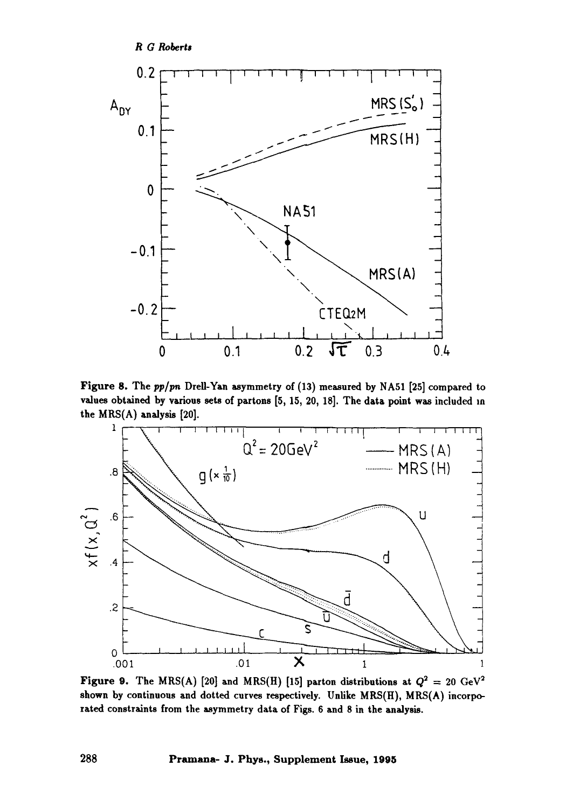

**Figure 8. The** *pp/pn* **Drell-Yan asymmetry of (13) measured by NA51 [25] compared to values obtained by various sets of partons [5, 15, 20, 18]. The data point was included m**  the MRS(A) analysis [20].



**Figure 9.** The MRS(A) [20] and MRS(H) [15] parton distributions at  $Q^2 = 20 \text{ GeV}^2$ **shown by continuous and dotted curves respectively. Unlike MRS(H), MRS(A) incorporated constraints from the asymmetry data of Figs. 6 and 8 in the analysis.**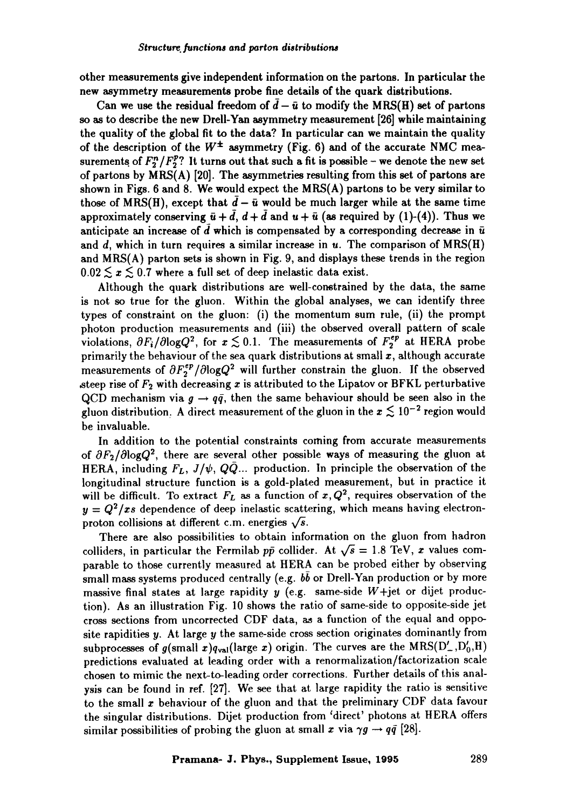other measurements give independent information on the partons. In particular the new asymmetry **measurements probe** fine details **of the** quark distributions.

Can we use the residual freedom of  $\bar{d} - \bar{u}$  to modify the MRS(H) set of partons **so as** to describe the new Drell-Yan asymmetry measurement [26] while maintaining the quality of the global fit to the data? In particular can we maintain the quality of the description of the  $W^{\pm}$  asymmetry (Fig. 6) and of the accurate NMC measurements of  $F^*_{\sigma}/F^*_{\sigma}$ ? It turns out that such a fit is possible - we denote the new set of partons by MRS(A) [20]. The asymmetries resulting from this set of partons are shown in Figs. 6 and 8. We would expect the MRS(A) patrons to be very similar to those of MRS(H), except that  $\bar{d} - \bar{u}$  would be much larger while at the same time approximately conserving  $\bar{u} + \bar{d}$ ,  $d + \bar{d}$  and  $u + \bar{u}$  (as required by (1)-(4)). Thus we anticipate an increase of d which is compensated by a corresponding decrease in  $\bar{u}$ and d, which in turn requires a similar increase in  $u$ . The comparison of  $MRS(H)$ and MRS(A) parton sets is shown in Fig. 9, and displays these trends in the region  $0.02 \le x \le 0.7$  where a full set of deep inelastic data exist.

Although the quark distributions are well-constrained by the data, the same is not so true for the gluon. Within the global analyses, we can identify three types of constraint on the gluon: (i) the momentum sum rule, (ii) the prompt photon production measurements and (iii) the observed overall pattern of scale violations,  $\partial F_i/\partial \log Q^2$ , for  $x \lesssim 0.1$ . The measurements of  $F_2^{ep}$  at HERA probe primarily the behaviour of the sea quark distributions at small  $x$ , although accurate measurements of  $\partial F_2^{ep}/\partial \log Q^2$  will further constrain the gluon. If the observed steep rise of  $F_2$  with decreasing x is attributed to the Lipatov or BFKL perturbative QCD mechanism via  $g \rightarrow q\bar{q}$ , then the same behaviour should be seen also in the gluon distribution. A direct measurement of the gluon in the  $x \lesssim 10^{-2}$  region would be invaluable.

In addition to the potential constraints coming from accurate measurements of  $\partial F_2/\partial \log Q^2$ , there are several other possible ways of measuring the gluon at HERA, including  $F_L$ ,  $J/\psi$ ,  $Q\bar{Q}$ ... production. In principle the observation of the longitudinal structure function is a gold-plated measurement, but in practice it will be difficult. To extract  $F_L$  as a function of  $x, Q^2$ , requires observation of the  $y = Q^2/x$  dependence of deep inelastic scattering, which means having electronproton collisions at different c.m. energies  $\sqrt{s}$ .

There are also possibilities to obtain information on the gluon from hadron colliders, in particular the Fermilab  $p\bar{p}$  collider. At  $\sqrt{s} = 1.8$  TeV, x values comparable to those currently measured at HERA can be probed either by observing small mass systems produced centrally (e.g.  $b\bar{b}$  or Drell-Yan production or by more massive final states at large rapidity y (e.g. same-side  $W+$ jet or dijet production). As an illustration Fig. 10 shows the ratio of same-side to opposite-side jet cross sections from uncorrected CDF data, as a function of the equal and opposite rapidities  $y$ . At large  $y$  the same-side cross section originates dominantly from subprocesses of g(small x)qval(large x) origin. The curves are the MRS(D', D'<sub>0</sub>,H) predictions evaluated at leading order with a renormalization/factorization scale chosen to mimic the next-to-leading order corrections. Further details of this analysis can be found in ref. [27]. We see that at large rapidity the ratio is sensitive to the small  $x$  behaviour of the gluon and that the preliminary CDF data favour the singular distributions. Dijet production from 'direct' photons at HERA offers similar possibilities of probing the gluon at small x via  $\gamma g \to q\bar{q}$  [28].

#### Pramana- J. Phys., Supplement Issue, 1995 289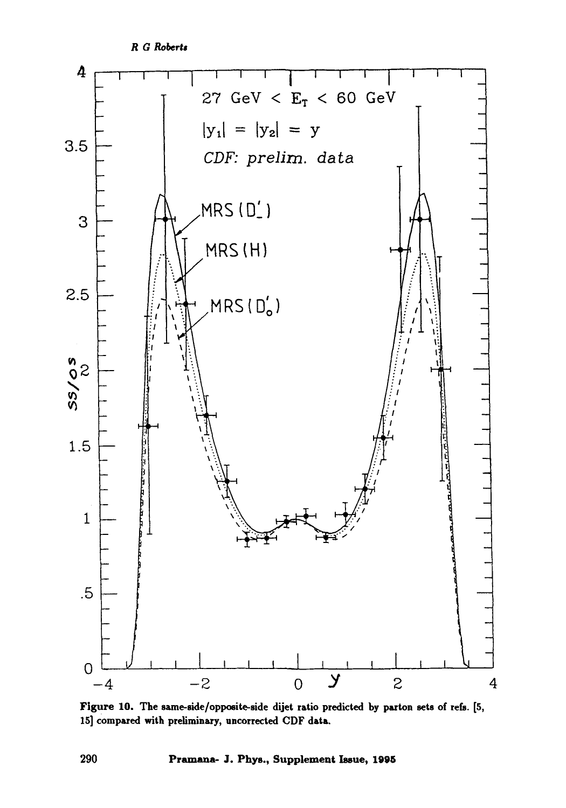*R G Roberts* 



Figure 10. The same-side/opposite-side dijet ratio predicted by parton sets of refs. [5, 15] compared with preliminary, uncorrected CDF data.

**290 Pramana- J. Phys., Supplement Issue, 1995**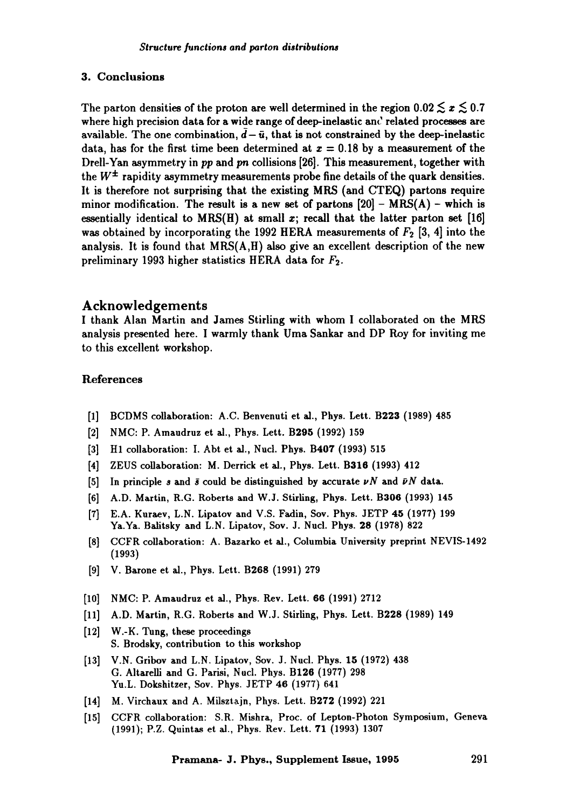## 3. Conclusions

The parton densities of the proton are well determined in the region  $0.02 \lesssim x \lesssim 0.7$ where high precision data for a wide range of deep-inelastic and related processes are available. The one combination,  $\bar{d} - \bar{u}$ , that is not constrained by the deep-inelastic data, has for the first time been determined at  $x = 0.18$  by a measurement of the Drell-Yan asymmetry in *pp* and *pn* collisions [26]. This measurement, together with the  $W^{\pm}$  rapidity asymmetry measurements probe fine details of the quark densities. It is therefore not surprising that the existing MRS (and CTEQ) partons require minor modification. The result is a new set of partons  $[20]$  – MRS(A) – which is essentially identical to  $MRS(H)$  at small x; recall that the latter parton set [16] was obtained by incorporating the 1992 HERA measurements of  $F_2$  [3, 4] into the analysis. It is found that  $MRS(A,H)$  also give an excellent description of the new preliminary 1993 higher statistics HERA data for  $F_2$ .

## Acknowledgements

I thank Alan Martin and James Stirling with whom I collaborated on the MRS analysis presented here. I warmly thank Uma Sankar and DP Roy for inviting me to this excellent workshop.

## References

- [1] BCDMS collaboration: A.C. Benvenuti et al., Phys. Lett. B223 (1989) 485
- [2] NMC: P. Amaudruz et al., Phys. Lett. B295 (1992) 159
- [3] H1 collaboration: I. Abt et al., Nucl. Phys. B407 (1993) 515
- [4] ZEUS collaboration: M. Derrick et al., Phys. Lett. B316 (1993) 412
- [5] In principle s and  $\bar{s}$  could be distinguished by accurate  $\nu N$  and  $\bar{\nu}N$  data.
- [6] A.D. Martin, R.G. Roberts and W.J. Stirling, Phys. Lett. B306 (1993) 145
- [7] E.A. Kuraev, L.N. Lipatov and V.S. Fadin, Soy. Phys. JETP 45 (1977) 199 Ya.Ya. Balitsky and L.N. Lipatov, Sov. J. Nucl. Phys. 28 (1978) 822
- [8] CCFR collaboration: A. Bazarko et aL, Columbia University preprint NEVIS-1492 (1993)
- [9] V. Barone et al., Phys. Lett. B268 (1991) 279
- [10] NMC: P. Amaudruz et al., Phys. Rev. Lett. 66 (1991) 2712
- [11] A.D. Martin, R.G. Roberts and W.J. Stirling, Phys. Lett. B228 (1989) 149
- [12] W.-K. Tung, these proceedings S. Brodsky, contribution to this workshop
- [13] V.N. Gribov and L.N. Lipatov, Soy. J. Nucl. Phys. 15 (1972) 438 G. Altarelli and G. Parisi, Nucl. Phys. B126 (1977) 298 Yu.L. Dokshitzer, Soy. Phys. JETP 46 (1977) 641
- [14] M. Virchaux and A. Milsztajn, Phys. Lett. B272 (1992) 221
- [15] CCFR collaboration: S.R. Mishra, Proc. of Lepton-Photon Symposium, Geneva (1991); P.Z. Quintas et al., Phys. Rev. Lett. 71 (1993) 1307